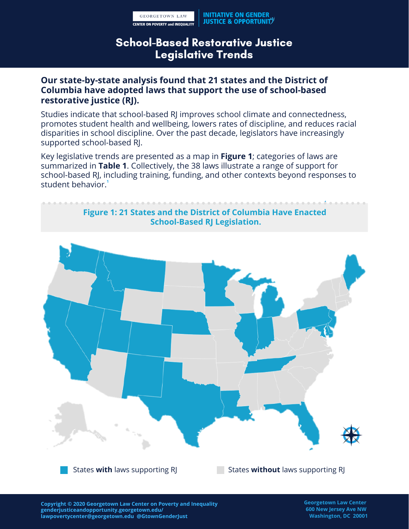### School-Based Restorative Justice Legislative Trends

### **Our state-by-state analysis found that 21 states and the District of Columbia have adopted laws that support the use of school-based restorative justice (RJ).**

Studies indicate that school-based RJ improves school climate and connectedness, promotes student health and wellbeing, lowers rates of discipline, and reduces racial disparities in school discipline. Over the past decade, legislators have increasingly supported school-based RJ.

Key legislative trends are presented as a map in **Figure 1**; categories of laws are summarized in **Table 1**. Collectively, the 38 laws illustrate a range of support for school-based RJ, including training, funding, and other contexts beyond responses to student behavior. **1**

#### **Figure 1: 21 States and the District of Columbia Have Enacted School-Based RJ Legislation.**



States **with** laws supporting RJ States **without** laws supporting RJ

**Copyright © 2020 Georgetown Law Center on Poverty and Inequality genderjusticeandopportunity.georgetown.edu/ lawpovertycenter@georgetown.edu @GtownGenderJust**

**Georgetown Law Center 600 New Jersey Ave NW Washington, DC 20001**

**1**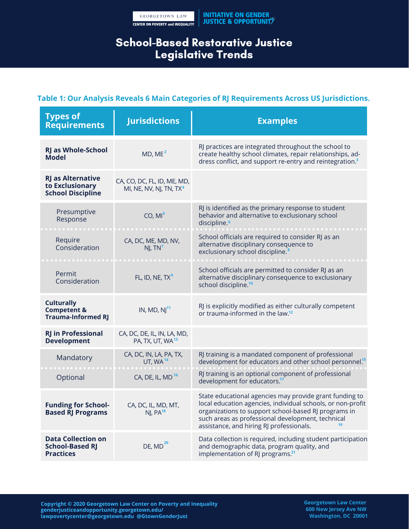# School-Based Restorative Justice Legislative Trends

#### **Table 1: Our Analysis Reveals 6 Main Categories of RJ Requirements Across US Jurisdictions.**

| <b>Types of</b><br><b>Requirements</b>                                   | <b>Jurisdictions</b>                                               | <b>Examples</b>                                                                                                                                                                                                                                                                 |
|--------------------------------------------------------------------------|--------------------------------------------------------------------|---------------------------------------------------------------------------------------------------------------------------------------------------------------------------------------------------------------------------------------------------------------------------------|
| <b>RJ as Whole-School</b><br><b>Model</b>                                | MD, ME <sup>2</sup>                                                | RJ practices are integrated throughout the school to<br>create healthy school climates, repair relationships, ad-<br>dress conflict, and support re-entry and reintegration. <sup>3</sup>                                                                                       |
| <b>RJ as Alternative</b><br>to Exclusionary<br><b>School Discipline</b>  | CA, CO, DC, FL, ID, ME, MD,<br>MI, NE, NV, NJ, TN, TX <sup>4</sup> |                                                                                                                                                                                                                                                                                 |
| Presumptive<br>Response                                                  | CO, MI <sup>5</sup>                                                | RJ is identified as the primary response to student<br>behavior and alternative to exclusionary school<br>discipline. <sup>6</sup>                                                                                                                                              |
| Require<br>Consideration                                                 | CA, DC, ME, MD, NV,<br>NJ, TN <sup>7</sup>                         | School officials are required to consider RJ as an<br>alternative disciplinary consequence to<br>exclusionary school discipline. <sup>8</sup>                                                                                                                                   |
| Permit<br>Consideration                                                  | FL, ID, NE, TX <sup>9</sup>                                        | School officials are permitted to consider RJ as an<br>alternative disciplinary consequence to exclusionary<br>school discipline. <sup>10</sup>                                                                                                                                 |
| <b>Culturally</b><br><b>Competent &amp;</b><br><b>Trauma-Informed RJ</b> | IN, MD, $NJ11$                                                     | RJ is explicitly modified as either culturally competent<br>or trauma-informed in the law. <sup>12</sup>                                                                                                                                                                        |
| <b>RJ in Professional</b><br><b>Development</b>                          | CA, DC, DE, IL, IN, LA, MD,<br>PA, TX, UT, WA <sup>13</sup>        |                                                                                                                                                                                                                                                                                 |
| Mandatory                                                                | CA, DC, IN, LA, PA, TX,<br>UT, WA $14$                             | RJ training is a mandated component of professional<br>development for educators and other school personnel <sup>15</sup>                                                                                                                                                       |
| Optional                                                                 | CA, DE, IL, MD <sup>16</sup>                                       | RJ training is an optional component of professional<br>development for educators. <sup>17</sup>                                                                                                                                                                                |
| <b>Funding for School-</b><br><b>Based RJ Programs</b>                   | CA, DC, IL, MD, MT,<br>NJ, PA <sup>18</sup>                        | State educational agencies may provide grant funding to<br>local education agencies, individual schools, or non-profit<br>organizations to support school-based RJ programs in<br>such areas as professional development, technical<br>assistance, and hiring RJ professionals. |
| <b>Data Collection on</b><br><b>School-Based RJ</b><br><b>Practices</b>  | DE, $MD20$                                                         | Data collection is required, including student participation<br>and demographic data, program quality, and<br>implementation of RJ programs. <sup>21</sup>                                                                                                                      |